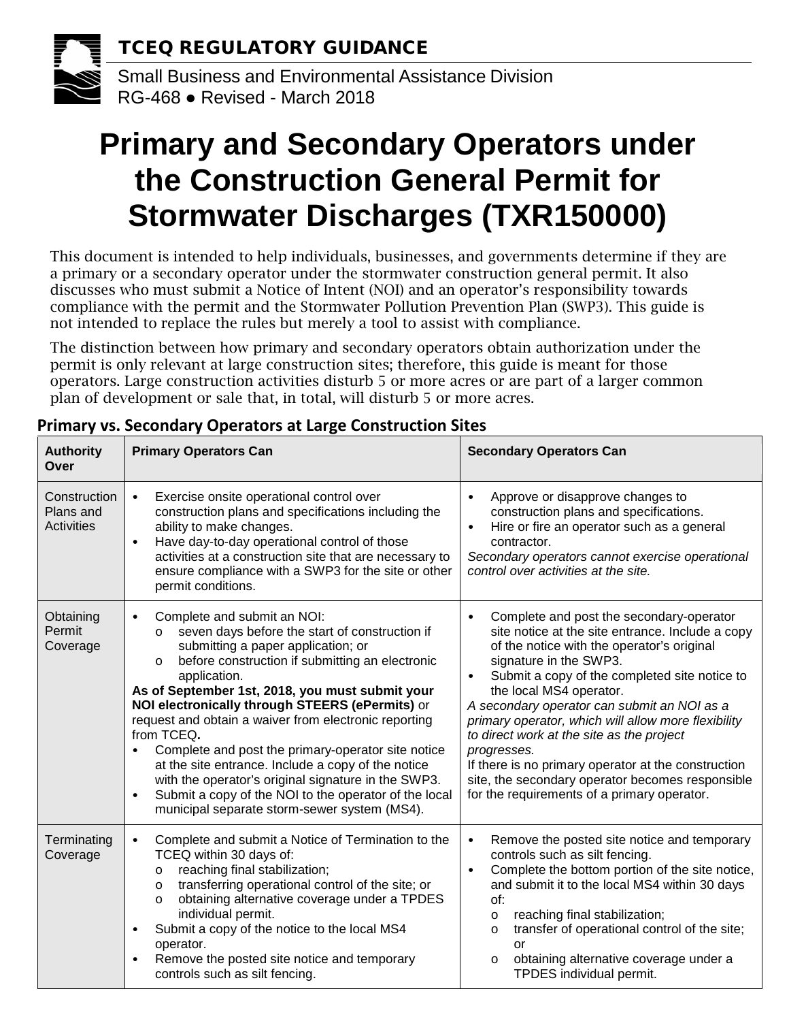

# **Primary and Secondary Operators under the Construction General Permit for Stormwater Discharges (TXR150000)**

This document is intended to help individuals, businesses, and governments determine if they are a primary or a secondary operator under the stormwater construction general permit. It also discusses who must submit a Notice of Intent (NOI) and an operator's responsibility towards compliance with the permit and the Stormwater Pollution Prevention Plan (SWP3). This guide is not intended to replace the rules but merely a tool to assist with compliance.

The distinction between how primary and secondary operators obtain authorization under the permit is only relevant at large construction sites; therefore, this guide is meant for those operators. Large construction activities disturb 5 or more acres or are part of a larger common plan of development or sale that, in total, will disturb 5 or more acres.

| <b>Authority</b><br>Over                       | <b>Primary Operators Can</b>                                                                                                                                                                                                                                                                                                                                                                                                                                                                                                                                                                                                                                                                    | <b>Secondary Operators Can</b>                                                                                                                                                                                                                                                                                                                                                                                                                                                                                                                                                                         |
|------------------------------------------------|-------------------------------------------------------------------------------------------------------------------------------------------------------------------------------------------------------------------------------------------------------------------------------------------------------------------------------------------------------------------------------------------------------------------------------------------------------------------------------------------------------------------------------------------------------------------------------------------------------------------------------------------------------------------------------------------------|--------------------------------------------------------------------------------------------------------------------------------------------------------------------------------------------------------------------------------------------------------------------------------------------------------------------------------------------------------------------------------------------------------------------------------------------------------------------------------------------------------------------------------------------------------------------------------------------------------|
| Construction<br>Plans and<br><b>Activities</b> | Exercise onsite operational control over<br>$\bullet$<br>construction plans and specifications including the<br>ability to make changes.<br>Have day-to-day operational control of those<br>$\bullet$<br>activities at a construction site that are necessary to<br>ensure compliance with a SWP3 for the site or other<br>permit conditions.                                                                                                                                                                                                                                                                                                                                                   | Approve or disapprove changes to<br>$\bullet$<br>construction plans and specifications.<br>Hire or fire an operator such as a general<br>contractor.<br>Secondary operators cannot exercise operational<br>control over activities at the site.                                                                                                                                                                                                                                                                                                                                                        |
| Obtaining<br>Permit<br>Coverage                | Complete and submit an NOI:<br>$\bullet$<br>seven days before the start of construction if<br>$\circ$<br>submitting a paper application; or<br>before construction if submitting an electronic<br>$\circ$<br>application.<br>As of September 1st, 2018, you must submit your<br>NOI electronically through STEERS (ePermits) or<br>request and obtain a waiver from electronic reporting<br>from TCEQ.<br>Complete and post the primary-operator site notice<br>at the site entrance. Include a copy of the notice<br>with the operator's original signature in the SWP3.<br>Submit a copy of the NOI to the operator of the local<br>$\bullet$<br>municipal separate storm-sewer system (MS4). | Complete and post the secondary-operator<br>$\bullet$<br>site notice at the site entrance. Include a copy<br>of the notice with the operator's original<br>signature in the SWP3.<br>Submit a copy of the completed site notice to<br>$\bullet$<br>the local MS4 operator.<br>A secondary operator can submit an NOI as a<br>primary operator, which will allow more flexibility<br>to direct work at the site as the project<br>progresses.<br>If there is no primary operator at the construction<br>site, the secondary operator becomes responsible<br>for the requirements of a primary operator. |
| Terminating<br>Coverage                        | Complete and submit a Notice of Termination to the<br>$\bullet$<br>TCEQ within 30 days of:<br>reaching final stabilization;<br>$\circ$<br>transferring operational control of the site; or<br>$\circ$<br>obtaining alternative coverage under a TPDES<br>$\circ$<br>individual permit.<br>Submit a copy of the notice to the local MS4<br>$\bullet$<br>operator.<br>Remove the posted site notice and temporary<br>$\bullet$<br>controls such as silt fencing.                                                                                                                                                                                                                                  | Remove the posted site notice and temporary<br>$\bullet$<br>controls such as silt fencing.<br>Complete the bottom portion of the site notice,<br>$\bullet$<br>and submit it to the local MS4 within 30 days<br>of:<br>reaching final stabilization;<br>$\circ$<br>transfer of operational control of the site;<br>$\circ$<br>or<br>obtaining alternative coverage under a<br>$\circ$<br>TPDES individual permit.                                                                                                                                                                                       |

### **Primary vs. Secondary Operators at Large Construction Sites**